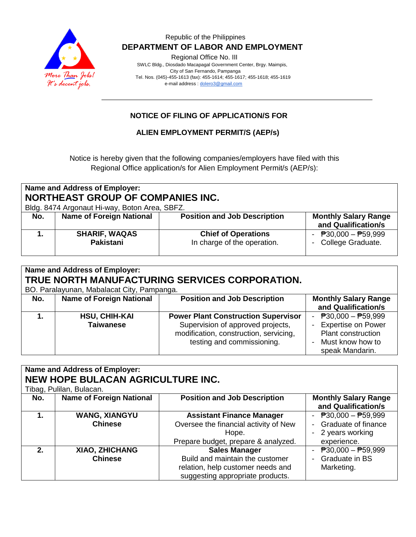

#### Republic of the Philippines  **DEPARTMENT OF LABOR AND EMPLOYMENT**

Regional Office No. III

 SWLC Bldg., Diosdado Macapagal Government Center, Brgy. Maimpis, City of San Fernando, Pampanga Tel. Nos. (045)-455-1613 (fax): 455-1614; 455-1617; 455-1618; 455-1619 e-mail address [: dolero3@gmail.com](mailto:dolero3@gmail.com)

### **NOTICE OF FILING OF APPLICATION/S FOR**

#### **ALIEN EMPLOYMENT PERMIT/S (AEP/s)**

Notice is hereby given that the following companies/employers have filed with this Regional Office application/s for Alien Employment Permit/s (AEP/s):

| Name and Address of Employer:<br><b>NORTHEAST GROUP OF COMPANIES INC.</b><br>Bldg. 8474 Argonaut Hi-way, Boton Area, SBFZ. |                                   |                                                           |                                                    |
|----------------------------------------------------------------------------------------------------------------------------|-----------------------------------|-----------------------------------------------------------|----------------------------------------------------|
| No.                                                                                                                        | <b>Name of Foreign National</b>   | <b>Position and Job Description</b>                       | <b>Monthly Salary Range</b><br>and Qualification/s |
|                                                                                                                            | <b>SHARIF, WAQAS</b><br>Pakistani | <b>Chief of Operations</b><br>In charge of the operation. | - $P30,000 - P59,999$<br>- College Graduate.       |

| Name and Address of Employer:<br>TRUE NORTH MANUFACTURING SERVICES CORPORATION.<br>BO. Paralayunan, Mabalacat City, Pampanga. |                                          |                                                                                                                                                         |                                                                                                                                           |
|-------------------------------------------------------------------------------------------------------------------------------|------------------------------------------|---------------------------------------------------------------------------------------------------------------------------------------------------------|-------------------------------------------------------------------------------------------------------------------------------------------|
| No.                                                                                                                           | <b>Name of Foreign National</b>          | <b>Position and Job Description</b>                                                                                                                     | <b>Monthly Salary Range</b><br>and Qualification/s                                                                                        |
|                                                                                                                               | <b>HSU, CHIH-KAI</b><br><b>Taiwanese</b> | <b>Power Plant Construction Supervisor</b><br>Supervision of approved projects,<br>modification, construction, servicing,<br>testing and commissioning. | - $\overline{P}30,000 - \overline{P}59,999$<br>- Expertise on Power<br><b>Plant construction</b><br>- Must know how to<br>speak Mandarin. |

| <b>Name and Address of Employer:</b><br><b>NEW HOPE BULACAN AGRICULTURE INC.</b> |                                 |                                       |                                                    |
|----------------------------------------------------------------------------------|---------------------------------|---------------------------------------|----------------------------------------------------|
| Tibag, Pulilan, Bulacan.                                                         |                                 |                                       |                                                    |
| No.                                                                              | <b>Name of Foreign National</b> | <b>Position and Job Description</b>   | <b>Monthly Salary Range</b><br>and Qualification/s |
| 1.                                                                               | <b>WANG, XIANGYU</b>            | <b>Assistant Finance Manager</b>      | - $P30,000 - P59,999$                              |
|                                                                                  | <b>Chinese</b>                  | Oversee the financial activity of New | Graduate of finance                                |
|                                                                                  |                                 | Hope.                                 | - 2 years working                                  |
|                                                                                  |                                 | Prepare budget, prepare & analyzed.   | experience.                                        |
| $2_{-}$                                                                          | <b>XIAO, ZHICHANG</b>           | <b>Sales Manager</b>                  | $\overline{P}30,000 - \overline{P}59,999$          |
|                                                                                  | <b>Chinese</b>                  | Build and maintain the customer       | Graduate in BS                                     |
|                                                                                  |                                 | relation, help customer needs and     | Marketing.                                         |
|                                                                                  |                                 | suggesting appropriate products.      |                                                    |